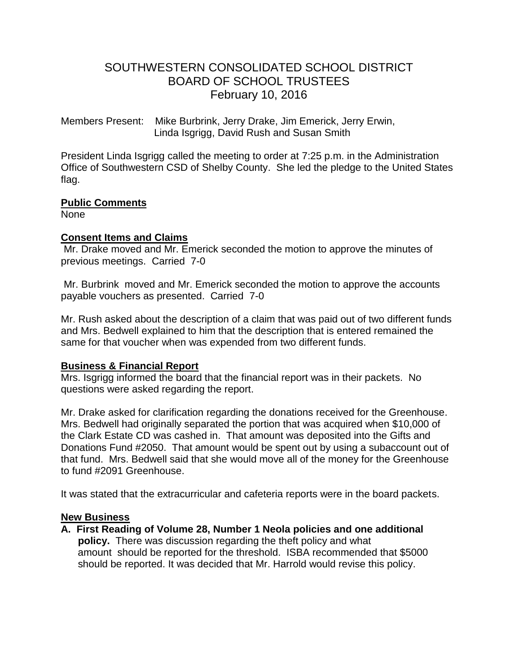# SOUTHWESTERN CONSOLIDATED SCHOOL DISTRICT BOARD OF SCHOOL TRUSTEES February 10, 2016

Members Present: Mike Burbrink, Jerry Drake, Jim Emerick, Jerry Erwin, Linda Isgrigg, David Rush and Susan Smith

President Linda Isgrigg called the meeting to order at 7:25 p.m. in the Administration Office of Southwestern CSD of Shelby County. She led the pledge to the United States flag.

# **Public Comments**

None

## **Consent Items and Claims**

Mr. Drake moved and Mr. Emerick seconded the motion to approve the minutes of previous meetings. Carried 7-0

Mr. Burbrink moved and Mr. Emerick seconded the motion to approve the accounts payable vouchers as presented. Carried 7-0

Mr. Rush asked about the description of a claim that was paid out of two different funds and Mrs. Bedwell explained to him that the description that is entered remained the same for that voucher when was expended from two different funds.

# **Business & Financial Report**

Mrs. Isgrigg informed the board that the financial report was in their packets. No questions were asked regarding the report.

Mr. Drake asked for clarification regarding the donations received for the Greenhouse. Mrs. Bedwell had originally separated the portion that was acquired when \$10,000 of the Clark Estate CD was cashed in. That amount was deposited into the Gifts and Donations Fund #2050. That amount would be spent out by using a subaccount out of that fund. Mrs. Bedwell said that she would move all of the money for the Greenhouse to fund #2091 Greenhouse.

It was stated that the extracurricular and cafeteria reports were in the board packets.

## **New Business**

**A. First Reading of Volume 28, Number 1 Neola policies and one additional policy.** There was discussion regarding the theft policy and what amount should be reported for the threshold. ISBA recommended that \$5000 should be reported. It was decided that Mr. Harrold would revise this policy.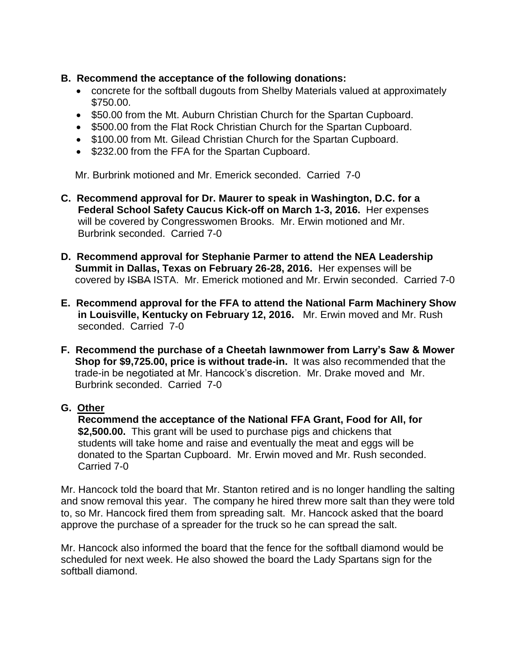- **B. Recommend the acceptance of the following donations:**
	- concrete for the softball dugouts from Shelby Materials valued at approximately \$750.00.
	- \$50.00 from the Mt. Auburn Christian Church for the Spartan Cupboard.
	- \$500.00 from the Flat Rock Christian Church for the Spartan Cupboard.
	- \$100.00 from Mt. Gilead Christian Church for the Spartan Cupboard.
	- \$232.00 from the FFA for the Spartan Cupboard.

Mr. Burbrink motioned and Mr. Emerick seconded. Carried 7-0

- **C. Recommend approval for Dr. Maurer to speak in Washington, D.C. for a Federal School Safety Caucus Kick-off on March 1-3, 2016.** Her expenses will be covered by Congresswomen Brooks.Mr. Erwin motioned and Mr. Burbrink seconded. Carried 7-0
- **D. Recommend approval for Stephanie Parmer to attend the NEA Leadership Summit in Dallas, Texas on February 26-28, 2016.** Her expenses will be covered by ISBA ISTA. Mr. Emerick motioned and Mr. Erwin seconded. Carried 7-0
- **E. Recommend approval for the FFA to attend the National Farm Machinery Show in Louisville, Kentucky on February 12, 2016.** Mr. Erwin moved and Mr. Rush seconded. Carried 7-0
- **F. Recommend the purchase of a Cheetah lawnmower from Larry's Saw & Mower Shop for \$9,725.00, price is without trade-in.** It was also recommended that the trade-in be negotiated at Mr. Hancock's discretion.Mr. Drake moved and Mr. Burbrink seconded. Carried 7-0

## **G. Other**

 **Recommend the acceptance of the National FFA Grant, Food for All, for \$2,500.00.** This grant will be used to purchase pigs and chickens that students will take home and raise and eventually the meat and eggs will be donated to the Spartan Cupboard.Mr. Erwin moved and Mr. Rush seconded. Carried 7-0

Mr. Hancock told the board that Mr. Stanton retired and is no longer handling the salting and snow removal this year. The company he hired threw more salt than they were told to, so Mr. Hancock fired them from spreading salt. Mr. Hancock asked that the board approve the purchase of a spreader for the truck so he can spread the salt.

Mr. Hancock also informed the board that the fence for the softball diamond would be scheduled for next week. He also showed the board the Lady Spartans sign for the softball diamond.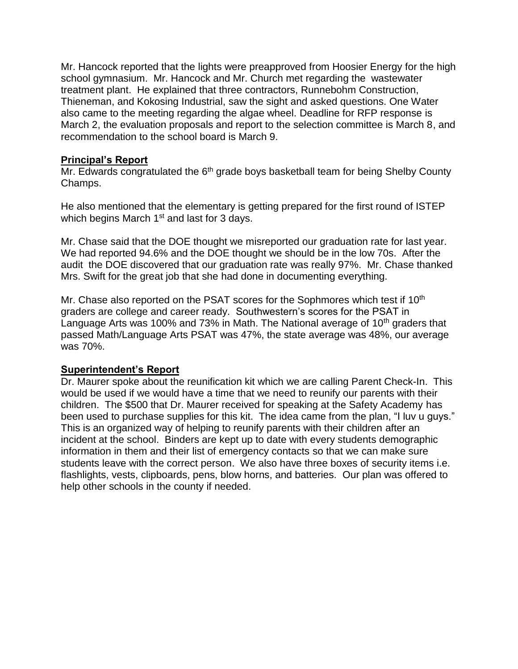Mr. Hancock reported that the lights were preapproved from Hoosier Energy for the high school gymnasium. Mr. Hancock and Mr. Church met regarding the wastewater treatment plant. He explained that three contractors, Runnebohm Construction, Thieneman, and Kokosing Industrial, saw the sight and asked questions. One Water also came to the meeting regarding the algae wheel. Deadline for RFP response is March 2, the evaluation proposals and report to the selection committee is March 8, and recommendation to the school board is March 9.

## **Principal's Report**

Mr. Edwards congratulated the 6<sup>th</sup> grade boys basketball team for being Shelby County Champs.

He also mentioned that the elementary is getting prepared for the first round of ISTEP which begins March 1<sup>st</sup> and last for 3 days.

Mr. Chase said that the DOE thought we misreported our graduation rate for last year. We had reported 94.6% and the DOE thought we should be in the low 70s. After the audit the DOE discovered that our graduation rate was really 97%. Mr. Chase thanked Mrs. Swift for the great job that she had done in documenting everything.

Mr. Chase also reported on the PSAT scores for the Sophmores which test if 10<sup>th</sup> graders are college and career ready. Southwestern's scores for the PSAT in Language Arts was 100% and 73% in Math. The National average of 10<sup>th</sup> graders that passed Math/Language Arts PSAT was 47%, the state average was 48%, our average was 70%.

# **Superintendent's Report**

Dr. Maurer spoke about the reunification kit which we are calling Parent Check-In. This would be used if we would have a time that we need to reunify our parents with their children. The \$500 that Dr. Maurer received for speaking at the Safety Academy has been used to purchase supplies for this kit. The idea came from the plan, "I luv u guys." This is an organized way of helping to reunify parents with their children after an incident at the school. Binders are kept up to date with every students demographic information in them and their list of emergency contacts so that we can make sure students leave with the correct person. We also have three boxes of security items i.e. flashlights, vests, clipboards, pens, blow horns, and batteries. Our plan was offered to help other schools in the county if needed.